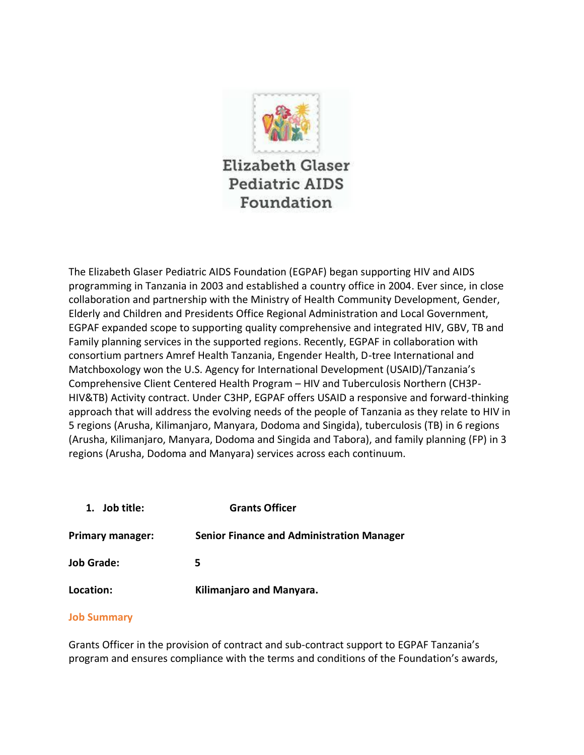

**Elizabeth Glaser Pediatric AIDS** Foundation

The Elizabeth Glaser Pediatric AIDS Foundation (EGPAF) began supporting HIV and AIDS programming in Tanzania in 2003 and established a country office in 2004. Ever since, in close collaboration and partnership with the Ministry of Health Community Development, Gender, Elderly and Children and Presidents Office Regional Administration and Local Government, EGPAF expanded scope to supporting quality comprehensive and integrated HIV, GBV, TB and Family planning services in the supported regions. Recently, EGPAF in collaboration with consortium partners Amref Health Tanzania, Engender Health, D-tree International and Matchboxology won the U.S. Agency for International Development (USAID)/Tanzania's Comprehensive Client Centered Health Program – HIV and Tuberculosis Northern (CH3P-HIV&TB) Activity contract. Under C3HP, EGPAF offers USAID a responsive and forward-thinking approach that will address the evolving needs of the people of Tanzania as they relate to HIV in 5 regions (Arusha, Kilimanjaro, Manyara, Dodoma and Singida), tuberculosis (TB) in 6 regions (Arusha, Kilimanjaro, Manyara, Dodoma and Singida and Tabora), and family planning (FP) in 3 regions (Arusha, Dodoma and Manyara) services across each continuum.

**1. Job title: Grants Officer Primary manager: Senior Finance and Administration Manager** 

**Location: Kilimanjaro and Manyara.**

## **Job Summary**

**Job Grade: 5**

Grants Officer in the provision of contract and sub-contract support to EGPAF Tanzania's program and ensures compliance with the terms and conditions of the Foundation's awards,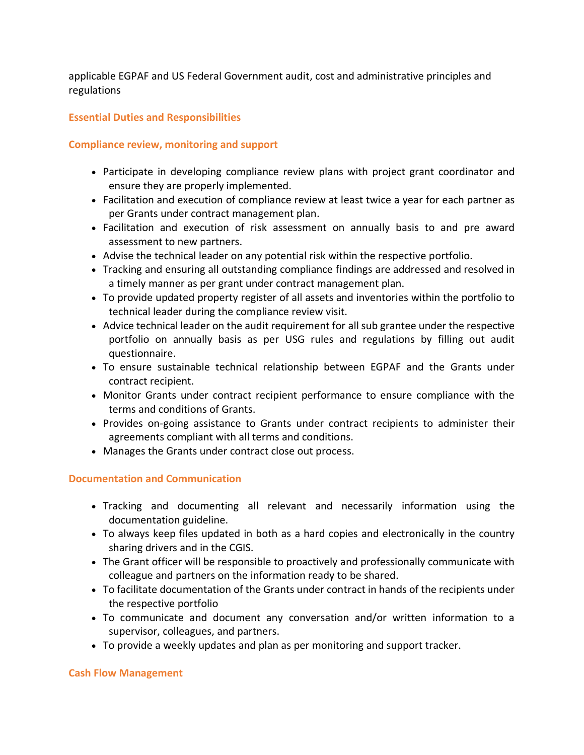applicable EGPAF and US Federal Government audit, cost and administrative principles and regulations

# **Essential Duties and Responsibilities**

## **Compliance review, monitoring and support**

- Participate in developing compliance review plans with project grant coordinator and ensure they are properly implemented.
- Facilitation and execution of compliance review at least twice a year for each partner as per Grants under contract management plan.
- Facilitation and execution of risk assessment on annually basis to and pre award assessment to new partners.
- Advise the technical leader on any potential risk within the respective portfolio.
- Tracking and ensuring all outstanding compliance findings are addressed and resolved in a timely manner as per grant under contract management plan.
- To provide updated property register of all assets and inventories within the portfolio to technical leader during the compliance review visit.
- Advice technical leader on the audit requirement for all sub grantee under the respective portfolio on annually basis as per USG rules and regulations by filling out audit questionnaire.
- To ensure sustainable technical relationship between EGPAF and the Grants under contract recipient.
- Monitor Grants under contract recipient performance to ensure compliance with the terms and conditions of Grants.
- Provides on-going assistance to Grants under contract recipients to administer their agreements compliant with all terms and conditions.
- Manages the Grants under contract close out process.

## **Documentation and Communication**

- Tracking and documenting all relevant and necessarily information using the documentation guideline.
- To always keep files updated in both as a hard copies and electronically in the country sharing drivers and in the CGIS.
- The Grant officer will be responsible to proactively and professionally communicate with colleague and partners on the information ready to be shared.
- To facilitate documentation of the Grants under contract in hands of the recipients under the respective portfolio
- To communicate and document any conversation and/or written information to a supervisor, colleagues, and partners.
- To provide a weekly updates and plan as per monitoring and support tracker.

#### **Cash Flow Management**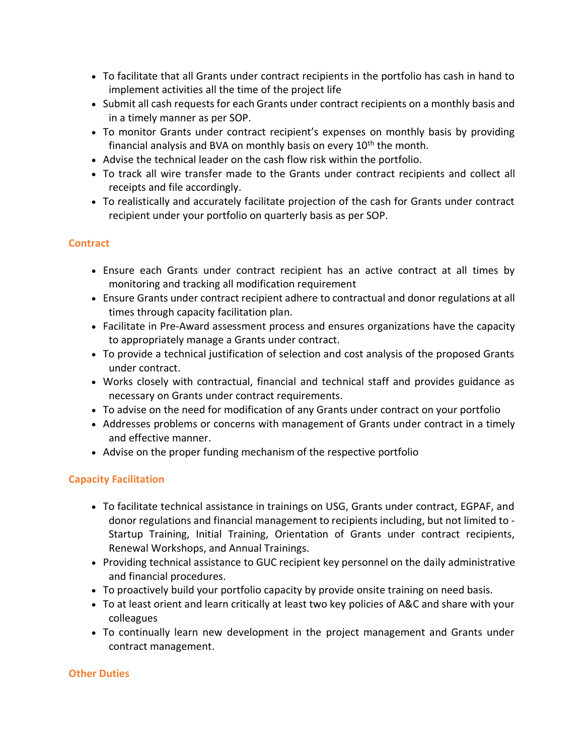- To facilitate that all Grants under contract recipients in the portfolio has cash in hand to implement activities all the time of the project life
- Submit all cash requests for each Grants under contract recipients on a monthly basis and in a timely manner as per SOP.
- To monitor Grants under contract recipient's expenses on monthly basis by providing financial analysis and BVA on monthly basis on every  $10<sup>th</sup>$  the month.
- Advise the technical leader on the cash flow risk within the portfolio.
- To track all wire transfer made to the Grants under contract recipients and collect all receipts and file accordingly.
- To realistically and accurately facilitate projection of the cash for Grants under contract recipient under your portfolio on quarterly basis as per SOP.

# **Contract**

- Ensure each Grants under contract recipient has an active contract at all times by monitoring and tracking all modification requirement
- Ensure Grants under contract recipient adhere to contractual and donor regulations at all times through capacity facilitation plan.
- Facilitate in Pre-Award assessment process and ensures organizations have the capacity to appropriately manage a Grants under contract.
- To provide a technical justification of selection and cost analysis of the proposed Grants under contract.
- Works closely with contractual, financial and technical staff and provides guidance as necessary on Grants under contract requirements.
- To advise on the need for modification of any Grants under contract on your portfolio
- Addresses problems or concerns with management of Grants under contract in a timely and effective manner.
- Advise on the proper funding mechanism of the respective portfolio

# **Capacity Facilitation**

- To facilitate technical assistance in trainings on USG, Grants under contract, EGPAF, and donor regulations and financial management to recipients including, but not limited to - Startup Training, Initial Training, Orientation of Grants under contract recipients, Renewal Workshops, and Annual Trainings.
- Providing technical assistance to GUC recipient key personnel on the daily administrative and financial procedures.
- To proactively build your portfolio capacity by provide onsite training on need basis.
- To at least orient and learn critically at least two key policies of A&C and share with your colleagues
- To continually learn new development in the project management and Grants under contract management.

## **Other Duties**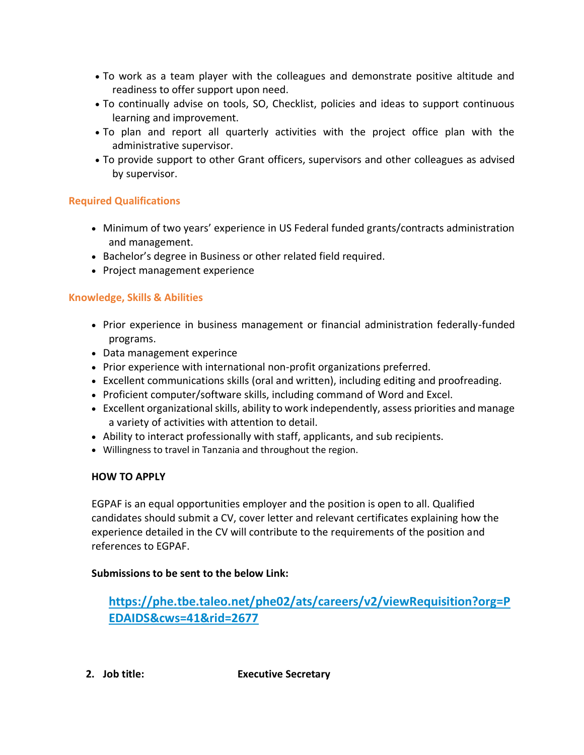- To work as a team player with the colleagues and demonstrate positive altitude and readiness to offer support upon need.
- To continually advise on tools, SO, Checklist, policies and ideas to support continuous learning and improvement.
- To plan and report all quarterly activities with the project office plan with the administrative supervisor.
- To provide support to other Grant officers, supervisors and other colleagues as advised by supervisor.

# **Required Qualifications**

- Minimum of two years' experience in US Federal funded grants/contracts administration and management.
- Bachelor's degree in Business or other related field required.
- Project management experience

# **Knowledge, Skills & Abilities**

- Prior experience in business management or financial administration federally-funded programs.
- Data management experince
- Prior experience with international non-profit organizations preferred.
- Excellent communications skills (oral and written), including editing and proofreading.
- Proficient computer/software skills, including command of Word and Excel.
- Excellent organizational skills, ability to work independently, assess priorities and manage a variety of activities with attention to detail.
- Ability to interact professionally with staff, applicants, and sub recipients.
- Willingness to travel in Tanzania and throughout the region.

# **HOW TO APPLY**

EGPAF is an equal opportunities employer and the position is open to all. Qualified candidates should submit a CV, cover letter and relevant certificates explaining how the experience detailed in the CV will contribute to the requirements of the position and references to EGPAF.

# **Submissions to be sent to the below Link:**

**[https://phe.tbe.taleo.net/phe02/ats/careers/v2/viewRequisition?org=P](https://phe.tbe.taleo.net/phe02/ats/careers/v2/viewRequisition?org=PEDAIDS&cws=41&rid=2677) [EDAIDS&cws=41&rid=2677](https://phe.tbe.taleo.net/phe02/ats/careers/v2/viewRequisition?org=PEDAIDS&cws=41&rid=2677)**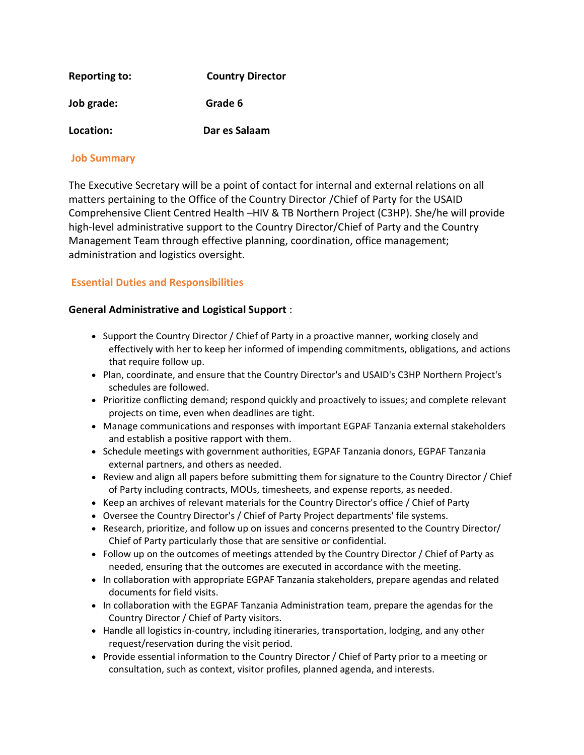| <b>Reporting to:</b> | <b>Country Director</b> |
|----------------------|-------------------------|
| Job grade:           | Grade 6                 |
| Location:            | Dar es Salaam           |

## **Job Summary**

The Executive Secretary will be a point of contact for internal and external relations on all matters pertaining to the Office of the Country Director /Chief of Party for the USAID Comprehensive Client Centred Health –HIV & TB Northern Project (C3HP). She/he will provide high-level administrative support to the Country Director/Chief of Party and the Country Management Team through effective planning, coordination, office management; administration and logistics oversight.

## **Essential Duties and Responsibilities**

## **General Administrative and Logistical Support** :

- Support the Country Director / Chief of Party in a proactive manner, working closely and effectively with her to keep her informed of impending commitments, obligations, and actions that require follow up.
- Plan, coordinate, and ensure that the Country Director's and USAID's C3HP Northern Project's schedules are followed.
- Prioritize conflicting demand; respond quickly and proactively to issues; and complete relevant projects on time, even when deadlines are tight.
- Manage communications and responses with important EGPAF Tanzania external stakeholders and establish a positive rapport with them.
- Schedule meetings with government authorities, EGPAF Tanzania donors, EGPAF Tanzania external partners, and others as needed.
- Review and align all papers before submitting them for signature to the Country Director / Chief of Party including contracts, MOUs, timesheets, and expense reports, as needed.
- Keep an archives of relevant materials for the Country Director's office / Chief of Party
- Oversee the Country Director's / Chief of Party Project departments' file systems.
- Research, prioritize, and follow up on issues and concerns presented to the Country Director/ Chief of Party particularly those that are sensitive or confidential.
- Follow up on the outcomes of meetings attended by the Country Director / Chief of Party as needed, ensuring that the outcomes are executed in accordance with the meeting.
- In collaboration with appropriate EGPAF Tanzania stakeholders, prepare agendas and related documents for field visits.
- In collaboration with the EGPAF Tanzania Administration team, prepare the agendas for the Country Director / Chief of Party visitors.
- Handle all logistics in-country, including itineraries, transportation, lodging, and any other request/reservation during the visit period.
- Provide essential information to the Country Director / Chief of Party prior to a meeting or consultation, such as context, visitor profiles, planned agenda, and interests.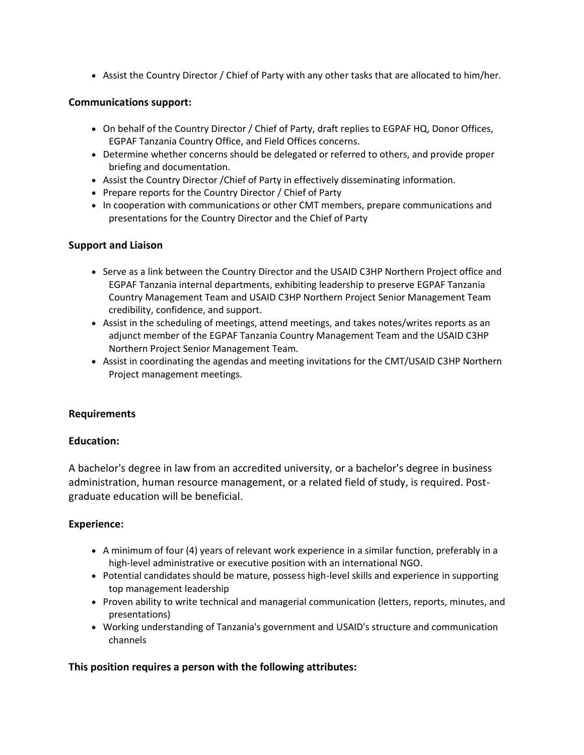• Assist the Country Director / Chief of Party with any other tasks that are allocated to him/her.

## **Communications support:**

- On behalf of the Country Director / Chief of Party, draft replies to EGPAF HQ, Donor Offices, EGPAF Tanzania Country Office, and Field Offices concerns.
- Determine whether concerns should be delegated or referred to others, and provide proper briefing and documentation.
- Assist the Country Director /Chief of Party in effectively disseminating information.
- Prepare reports for the Country Director / Chief of Party
- In cooperation with communications or other CMT members, prepare communications and presentations for the Country Director and the Chief of Party

### **Support and Liaison**

- Serve as a link between the Country Director and the USAID C3HP Northern Project office and EGPAF Tanzania internal departments, exhibiting leadership to preserve EGPAF Tanzania Country Management Team and USAID C3HP Northern Project Senior Management Team credibility, confidence, and support.
- Assist in the scheduling of meetings, attend meetings, and takes notes/writes reports as an adjunct member of the EGPAF Tanzania Country Management Team and the USAID C3HP Northern Project Senior Management Team.
- Assist in coordinating the agendas and meeting invitations for the CMT/USAID C3HP Northern Project management meetings.

#### **Requirements**

#### **Education:**

A bachelor's degree in law from an accredited university, or a bachelor's degree in business administration, human resource management, or a related field of study, is required. Postgraduate education will be beneficial.

#### **Experience:**

- A minimum of four (4) years of relevant work experience in a similar function, preferably in a high-level administrative or executive position with an international NGO.
- Potential candidates should be mature, possess high-level skills and experience in supporting top management leadership
- Proven ability to write technical and managerial communication (letters, reports, minutes, and presentations)
- Working understanding of Tanzania's government and USAID's structure and communication channels

## **This position requires a person with the following attributes:**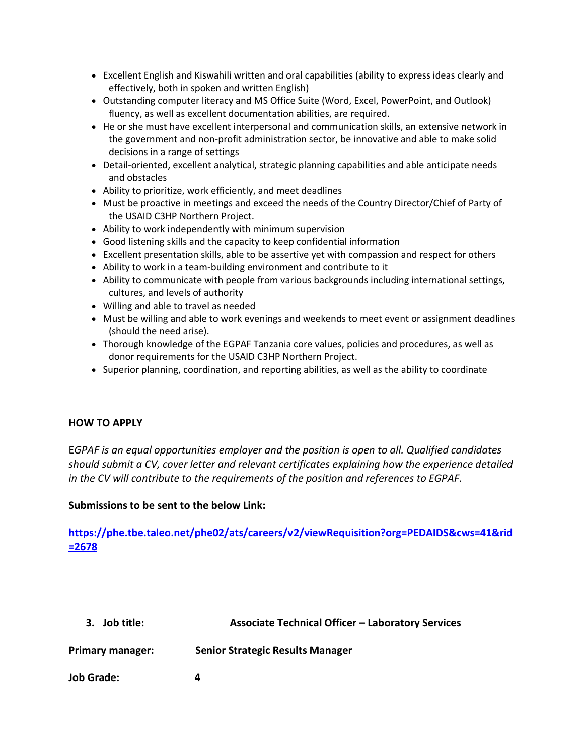- Excellent English and Kiswahili written and oral capabilities (ability to express ideas clearly and effectively, both in spoken and written English)
- Outstanding computer literacy and MS Office Suite (Word, Excel, PowerPoint, and Outlook) fluency, as well as excellent documentation abilities, are required.
- He or she must have excellent interpersonal and communication skills, an extensive network in the government and non-profit administration sector, be innovative and able to make solid decisions in a range of settings
- Detail-oriented, excellent analytical, strategic planning capabilities and able anticipate needs and obstacles
- Ability to prioritize, work efficiently, and meet deadlines
- Must be proactive in meetings and exceed the needs of the Country Director/Chief of Party of the USAID C3HP Northern Project.
- Ability to work independently with minimum supervision
- Good listening skills and the capacity to keep confidential information
- Excellent presentation skills, able to be assertive yet with compassion and respect for others
- Ability to work in a team-building environment and contribute to it
- Ability to communicate with people from various backgrounds including international settings, cultures, and levels of authority
- Willing and able to travel as needed
- Must be willing and able to work evenings and weekends to meet event or assignment deadlines (should the need arise).
- Thorough knowledge of the EGPAF Tanzania core values, policies and procedures, as well as donor requirements for the USAID C3HP Northern Project.
- Superior planning, coordination, and reporting abilities, as well as the ability to coordinate

#### **HOW TO APPLY**

E*GPAF is an equal opportunities employer and the position is open to all. Qualified candidates should submit a CV, cover letter and relevant certificates explaining how the experience detailed in the CV will contribute to the requirements of the position and references to EGPAF.* 

## **Submissions to be sent to the below Link:**

**[https://phe.tbe.taleo.net/phe02/ats/careers/v2/viewRequisition?org=PEDAIDS&cws=41&rid](https://phe.tbe.taleo.net/phe02/ats/careers/v2/viewRequisition?org=PEDAIDS&cws=41&rid=2678) [=2678](https://phe.tbe.taleo.net/phe02/ats/careers/v2/viewRequisition?org=PEDAIDS&cws=41&rid=2678)**

| 3. Job title: | <b>Associate Technical Officer - Laboratory Services</b> |
|---------------|----------------------------------------------------------|
|               |                                                          |

**Primary manager: Senior Strategic Results Manager**

**Job Grade: 4**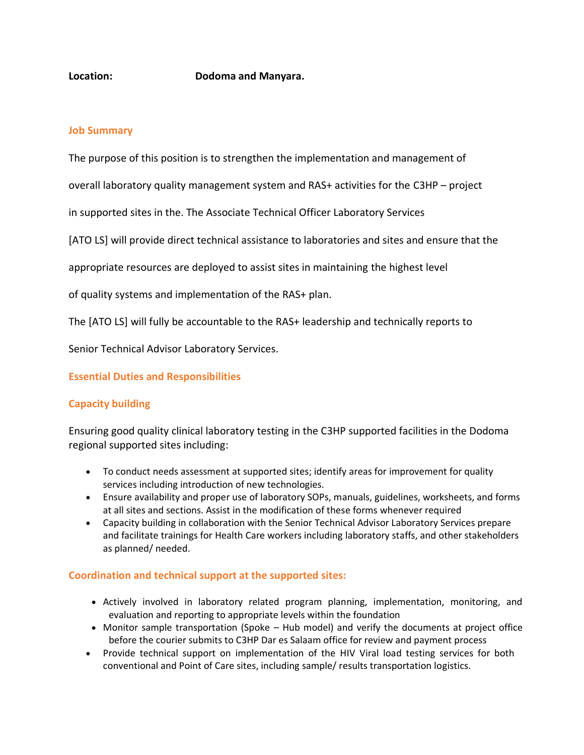#### **Location: Dodoma and Manyara.**

#### **Job Summary**

The purpose of this position is to strengthen the implementation and management of

overall laboratory quality management system and RAS+ activities for the C3HP – project

in supported sites in the. The Associate Technical Officer Laboratory Services

[ATO LS] will provide direct technical assistance to laboratories and sites and ensure that the

appropriate resources are deployed to assist sites in maintaining the highest level

of quality systems and implementation of the RAS+ plan.

The [ATO LS] will fully be accountable to the RAS+ leadership and technically reports to

Senior Technical Advisor Laboratory Services.

#### **Essential Duties and Responsibilities**

## **Capacity building**

Ensuring good quality clinical laboratory testing in the C3HP supported facilities in the Dodoma regional supported sites including:

- To conduct needs assessment at supported sites; identify areas for improvement for quality services including introduction of new technologies.
- Ensure availability and proper use of laboratory SOPs, manuals, guidelines, worksheets, and forms at all sites and sections. Assist in the modification of these forms whenever required
- Capacity building in collaboration with the Senior Technical Advisor Laboratory Services prepare and facilitate trainings for Health Care workers including laboratory staffs, and other stakeholders as planned/ needed.

#### **Coordination and technical support at the supported sites:**

- Actively involved in laboratory related program planning, implementation, monitoring, and evaluation and reporting to appropriate levels within the foundation
- Monitor sample transportation (Spoke Hub model) and verify the documents at project office before the courier submits to C3HP Dar es Salaam office for review and payment process
- Provide technical support on implementation of the HIV Viral load testing services for both conventional and Point of Care sites, including sample/ results transportation logistics.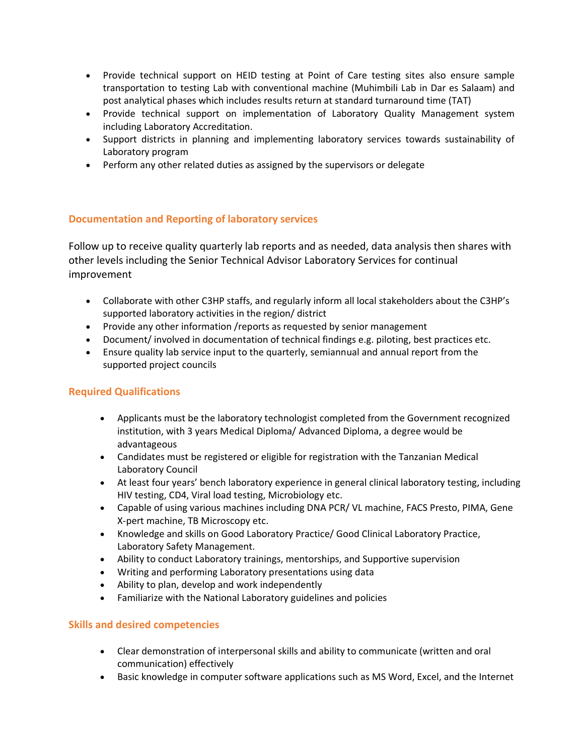- Provide technical support on HEID testing at Point of Care testing sites also ensure sample transportation to testing Lab with conventional machine (Muhimbili Lab in Dar es Salaam) and post analytical phases which includes results return at standard turnaround time (TAT)
- Provide technical support on implementation of Laboratory Quality Management system including Laboratory Accreditation.
- Support districts in planning and implementing laboratory services towards sustainability of Laboratory program
- Perform any other related duties as assigned by the supervisors or delegate

## **Documentation and Reporting of laboratory services**

Follow up to receive quality quarterly lab reports and as needed, data analysis then shares with other levels including the Senior Technical Advisor Laboratory Services for continual improvement

- Collaborate with other C3HP staffs, and regularly inform all local stakeholders about the C3HP's supported laboratory activities in the region/ district
- Provide any other information /reports as requested by senior management
- Document/ involved in documentation of technical findings e.g. piloting, best practices etc.
- Ensure quality lab service input to the quarterly, semiannual and annual report from the supported project councils

## **Required Qualifications**

- Applicants must be the laboratory technologist completed from the Government recognized institution, with 3 years Medical Diploma/ Advanced Diploma, a degree would be advantageous
- Candidates must be registered or eligible for registration with the Tanzanian Medical Laboratory Council
- At least four years' bench laboratory experience in general clinical laboratory testing, including HIV testing, CD4, Viral load testing, Microbiology etc.
- Capable of using various machines including DNA PCR/ VL machine, FACS Presto, PIMA, Gene X-pert machine, TB Microscopy etc.
- Knowledge and skills on Good Laboratory Practice/ Good Clinical Laboratory Practice, Laboratory Safety Management.
- Ability to conduct Laboratory trainings, mentorships, and Supportive supervision
- Writing and performing Laboratory presentations using data
- Ability to plan, develop and work independently
- Familiarize with the National Laboratory guidelines and policies

# **Skills and desired competencies**

- Clear demonstration of interpersonal skills and ability to communicate (written and oral communication) effectively
- Basic knowledge in computer software applications such as MS Word, Excel, and the Internet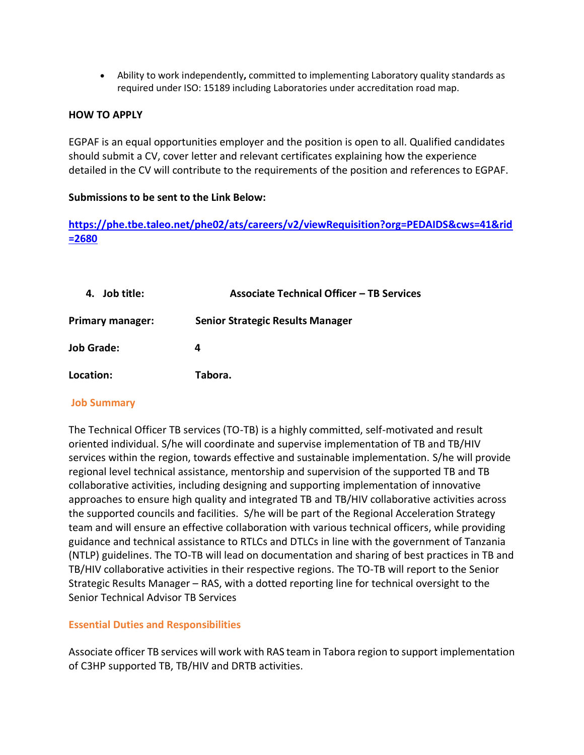• Ability to work independently**,** committed to implementing Laboratory quality standards as required under ISO: 15189 including Laboratories under accreditation road map.

## **HOW TO APPLY**

EGPAF is an equal opportunities employer and the position is open to all. Qualified candidates should submit a CV, cover letter and relevant certificates explaining how the experience detailed in the CV will contribute to the requirements of the position and references to EGPAF.

### **Submissions to be sent to the Link Below:**

**[https://phe.tbe.taleo.net/phe02/ats/careers/v2/viewRequisition?org=PEDAIDS&cws=41&rid](https://phe.tbe.taleo.net/phe02/ats/careers/v2/viewRequisition?org=PEDAIDS&cws=41&rid=2680) [=2680](https://phe.tbe.taleo.net/phe02/ats/careers/v2/viewRequisition?org=PEDAIDS&cws=41&rid=2680)**

| 4. Job title:     | <b>Associate Technical Officer - TB Services</b> |
|-------------------|--------------------------------------------------|
| Primary manager:  | <b>Senior Strategic Results Manager</b>          |
| <b>Job Grade:</b> | 4                                                |
| Location:         | Tabora.                                          |

#### **Job Summary**

The Technical Officer TB services (TO-TB) is a highly committed, self-motivated and result oriented individual. S/he will coordinate and supervise implementation of TB and TB/HIV services within the region, towards effective and sustainable implementation. S/he will provide regional level technical assistance, mentorship and supervision of the supported TB and TB collaborative activities, including designing and supporting implementation of innovative approaches to ensure high quality and integrated TB and TB/HIV collaborative activities across the supported councils and facilities. S/he will be part of the Regional Acceleration Strategy team and will ensure an effective collaboration with various technical officers, while providing guidance and technical assistance to RTLCs and DTLCs in line with the government of Tanzania (NTLP) guidelines. The TO-TB will lead on documentation and sharing of best practices in TB and TB/HIV collaborative activities in their respective regions. The TO-TB will report to the Senior Strategic Results Manager – RAS, with a dotted reporting line for technical oversight to the Senior Technical Advisor TB Services

## **Essential Duties and Responsibilities**

Associate officer TB services will work with RAS team in Tabora region to support implementation of C3HP supported TB, TB/HIV and DRTB activities.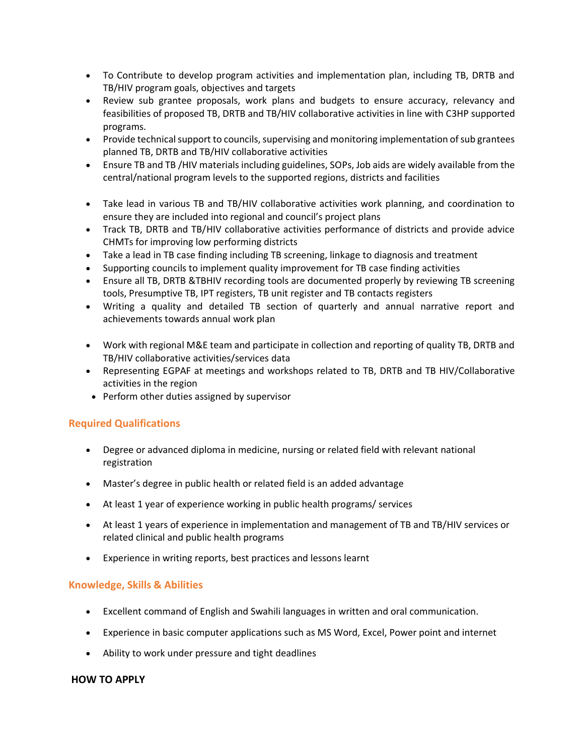- To Contribute to develop program activities and implementation plan, including TB, DRTB and TB/HIV program goals, objectives and targets
- Review sub grantee proposals, work plans and budgets to ensure accuracy, relevancy and feasibilities of proposed TB, DRTB and TB/HIV collaborative activities in line with C3HP supported programs.
- Provide technical support to councils, supervising and monitoring implementation of sub grantees planned TB, DRTB and TB/HIV collaborative activities
- Ensure TB and TB /HIV materials including guidelines, SOPs, Job aids are widely available from the central/national program levels to the supported regions, districts and facilities
- Take lead in various TB and TB/HIV collaborative activities work planning, and coordination to ensure they are included into regional and council's project plans
- Track TB, DRTB and TB/HIV collaborative activities performance of districts and provide advice CHMTs for improving low performing districts
- Take a lead in TB case finding including TB screening, linkage to diagnosis and treatment
- Supporting councils to implement quality improvement for TB case finding activities
- Ensure all TB, DRTB &TBHIV recording tools are documented properly by reviewing TB screening tools, Presumptive TB, IPT registers, TB unit register and TB contacts registers
- Writing a quality and detailed TB section of quarterly and annual narrative report and achievements towards annual work plan
- Work with regional M&E team and participate in collection and reporting of quality TB, DRTB and TB/HIV collaborative activities/services data
- Representing EGPAF at meetings and workshops related to TB, DRTB and TB HIV/Collaborative activities in the region
- Perform other duties assigned by supervisor

## **Required Qualifications**

- Degree or advanced diploma in medicine, nursing or related field with relevant national registration
- Master's degree in public health or related field is an added advantage
- At least 1 year of experience working in public health programs/ services
- At least 1 years of experience in implementation and management of TB and TB/HIV services or related clinical and public health programs
- Experience in writing reports, best practices and lessons learnt

## **Knowledge, Skills & Abilities**

- Excellent command of English and Swahili languages in written and oral communication.
- Experience in basic computer applications such as MS Word, Excel, Power point and internet
- Ability to work under pressure and tight deadlines

#### **HOW TO APPLY**